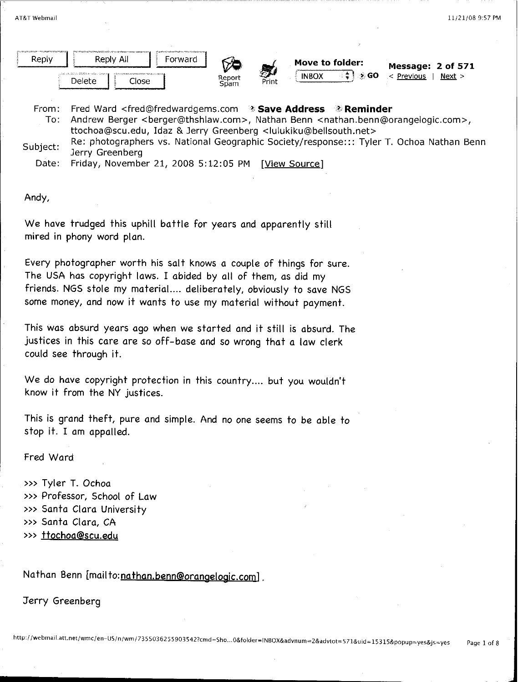~--------~-------------



From: To: Subject: Date: Fred Ward <fred@fredwardgems.com <sup>9</sup> Save Address <sup>2</sup> Reminder Andrew Berger <berger@thshlaw.com>, Nathan Benn <nathan.benn@orangelogic.com>, ttochoa@scu.edu, Idaz & Jerry Greenberg <Iulukiku@bellsouth.net> Re: photographers vs. National Geographic Society/response::: Tyler T. Ochoa Nathan Benn Jerry Greenberg Friday, November 21, 2008 5:12:05 PM [View Source]

## Andy,

We have trudged this uphill battle for years and apparently still mired in phony word plan.

Every photographer worth his salt knows a couple of things for sure. The USA has copyright laws. I abided by all of them, as did my friends. NGS stole my material.... deliberately, obviously to save NGS some money, and now it wants to use my material without payment.

This was absurd years ago when we started and it still is absurd. The justices in this care are so off-base and so wrong that a law clerk could see through it.

We do have copyright protection in this country.... but you wouldn't know it from the NY justices.

This is grand theft, pure and simple. And no one seems to be able to stop it. I am appalled.

Fred Ward

»> Tyler T. Ochoa »> Professor, School of Law »> Santa Clara University »> Santa Clara, CA >>> ttochoa@scu.edu

Nathan Benn [mailto:nathan.benn@orangelogic.com].

Jerry Greenberg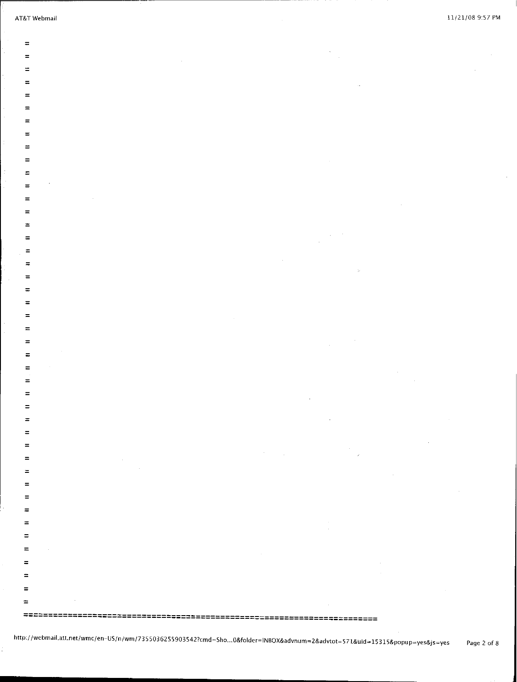AT&T Webmail

= = = =

= = = = = = = = = = = = = = = = = = = =  $=$ = = = = = = = = = = = = = =  $=$ = = = = **========================================================================** http://webmail.att.net/wmc/en-US/n/wm/7355036255903542?cmd=Sho...0&folder=INBOX&advnum=2&advtot=571&uid=15315&popup=yes&js=yes Page 2 of 8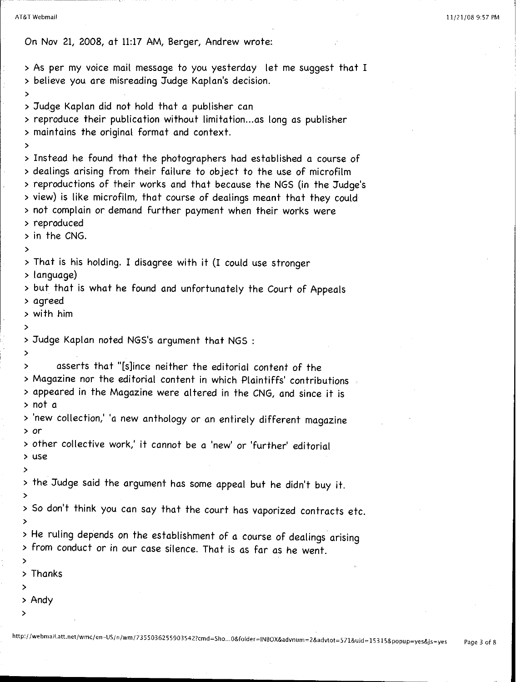AT&TWebmail

On Nov 21, 2008, at 11:17 AM, Berger, Andrew wrote:

> As per my voice mail message to you yesterday let me suggest that I > believe you are misreading Judge Kaplan's decision. > > Judge Kaplan did not hold that a publisher can > reproduce their publication without limitation...as long as publisher > maintains the original format and context. > > Instead he found that the photographers had established a course of > dealings arising from their failure to object to the use of microfilm > reproductions of their works and that because the NG5 (in the Judge's > view) is like microfilm, that course of dealings meant that they could > not complain or demand further payment when their works were > reproduced > in the CNG. > > That is his holding. I disagree with it (I could use stronger > language) > but that is what he found and unfortunately the Court of Appeals > agreed > with him > > Judge Kaplan noted NG5's argument that NG5 : > > asserts that "[s]ince neither the editorial content of the > Magazine nor the editorial content in which Plaintiffs' contributions > appeared in the Magazine were altered in the CNG, and since it is > not a > 'new collection,' 'a new anthology or an entirely different magazine > or > other collective work,' it cannot be a 'new' or 'further' editorial > use > > the Judge said the argument has some appeal but he didn't buy it. > > So don't think you can say that the court has vaporized contracts etc. > > He ruling depends on the establishment of a course of dealings arising > from conduct or in our case silence. That is as far as he went. > > Thanks > > Andy >

http://webmait.att.net/wmc/en-US/ n/wm / 73 550362 55903542?cmd =Sho..OMolde r= INBOX&advnum= 2&advtot= 5 71&uid <sup>=</sup> **<sup>15</sup>** 315& popu p=yes&js=yes Page 3 of <sup>B</sup>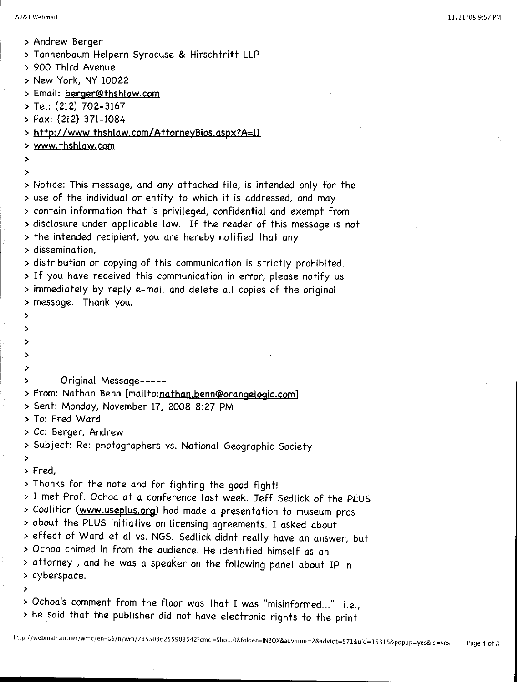AT&TWebmail

> Andrew Berger

> Tannenbaum Helpern Syracuse & Hirschtritt LLP

> 900 Third Avenue

> New York, NY 10022

> Email: berger@thshlaw.com

> Tel: (212) 702-3167

> Fax: (212) 371-1084

> http://www.thshlaw.com/AttorneyBios.aspx?A=ll

> www.thshlaw.com

> >

> > > > >

> Notice: This message, and any attached file, is intended only for the > use of the individual or entity to which it is addressed, and may > contain information that is privileged, confidential and exempt from <sup>&</sup>gt; disclosure under applicable law. If the reader of this message is not > the intended recipient, you are hereby notified that any > dissemination, > distribution or copying of this communication is strictly prohibited.

<sup>&</sup>gt; If you have received this communication in error, please notify us

> immediately by reply e-mail and delete all copies of the original > message. Thank you.

 $\rightarrow$  -----Original Message-----

> From: Nathan Benn [mailto:nathan.benn@orangelogic.com]

> Sent: Monday, November 17, 2008 8:27 PM

> To: Fred Ward

> Cc: Berger, Andrew

> Subject: Re: photographers vs. National Geographic Society

>

> Fred,

> Thanks for the note and for fighting the good fight!

> I met Prof. Ochoa at a conference last week. Jeff Sedlick of the PLUS > Coalition (www.useplus.org) had made a presentation to museum pros > about the PLUS initiative on licensing agreements. I csked about > effect of Ward et al vs. NGS. Sedlick didnt really have an answer, but > Ochoa chimed in from the audience. He identified himself as an > attorney, and he was a speaker on the following panel about IP in > cyberspace.

>

> Ochoa's comment from the floor was that I was "misinformed..." i.e., > he said that the publisher did not have electronic rights to the print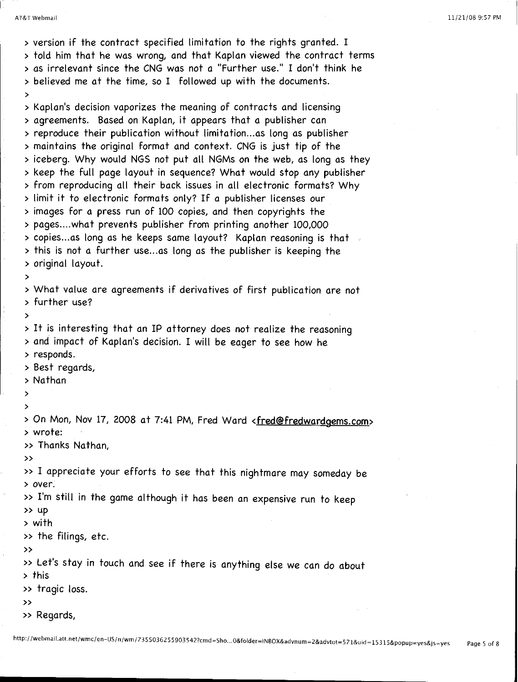AT&TWebmail

>

> version if the contract specified limitation to the rights granted. I > told him that he was wrong, and that Kaplan viewed the contract terms > as irrelevant since the CNG was not a "Further use." I don't think he > believed me at the time, so I followed up with the documents.

> Kaplan's decision vaporizes the meaning of contracts and licensing > agreements. Based on Kaplan, it appears that a publisher can > reproduce their publication without limitation...as long as publisher > maintains the original format and context. CNG is just tip of the > iceberg. Why would NGS not put all NGMs on the web, as long as they > keep the full page layout in sequence? What would stop any publisher > from reproducing all their back issues in all electronic formats? Why <sup>&</sup>gt; limit it to electronic formats only? If <sup>a</sup> publisher licenses our > images for a press run of 100 copies, and then copyrights the > pages....what prevents publisher from printing another 100,000 > copies as long as he keeps same layout? Kaplan reasoning is that > this is not a further use...as long as the publisher is keeping the > original layout.

> What value are agreements if derivatives of first publication are not > further use?

<sup>&</sup>gt; It is interesting that an IP attorney does not realize the reasoning > and impact of Kaplan's decision. I will be eager to see how he > responds.

> Best regards,

> Nathan

>

>

>

>

> On Mon, Nov 17, 2008 at 7:41 PM, Fred Ward <fred@fredwardgems.com> > wrote:

» Thanks Nathan,

»

» I appreciate your efforts to see that this nightmare may someday be > over.

» I'm still in the game although it has been an expensive run to keep » up

> with

» the filings, etc.

»

» Let's stay in touch and see if there is anything else we can do about > this

» tragic loss.

- »
- » Regards,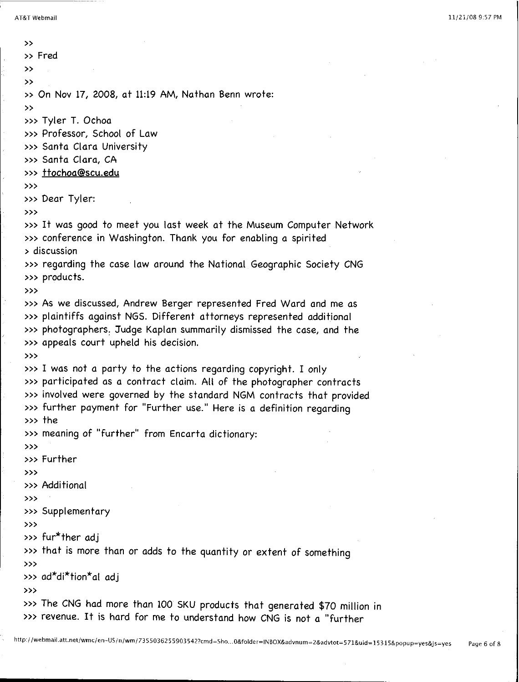```
AT&T Webmall
```
ŀ.

 $\epsilon$ 

Ž,

| >>                                                                                                                                                      |
|---------------------------------------------------------------------------------------------------------------------------------------------------------|
| >> Fred                                                                                                                                                 |
| >>                                                                                                                                                      |
| >>                                                                                                                                                      |
| >> On Nov 17, 2008, at 11:19 AM, Nathan Benn wrote:                                                                                                     |
| >>                                                                                                                                                      |
| >>> Tyler T. Ochoa                                                                                                                                      |
| >>> Professor, School of Law                                                                                                                            |
| >>> Santa Clara University                                                                                                                              |
| >>> Santa Clara, CA                                                                                                                                     |
| >>> ttochoa@scu.edu                                                                                                                                     |
| >>>                                                                                                                                                     |
| >>> Dear Tyler:                                                                                                                                         |
| >>>                                                                                                                                                     |
| >>> It was good to meet you last week at the Museum Computer Network<br>>>> conference in Washington. Thank you for enabling a spirited<br>> discussion |
| >>> regarding the case law around the National Geographic Society CNG                                                                                   |
| >>> products.                                                                                                                                           |
| >                                                                                                                                                       |
| >>> As we discussed, Andrew Berger represented Fred Ward and me as                                                                                      |
| >>> plaintiffs against NGS. Different attorneys represented additional                                                                                  |
| >>> photographers. Judge Kaplan summarily dismissed the case, and the                                                                                   |
| >>> appeals court upheld his decision.                                                                                                                  |
| >>>                                                                                                                                                     |
| >>> I was not a party to the actions regarding copyright. I only                                                                                        |
| >>> participated as a contract claim. All of the photographer contracts                                                                                 |
| >>> involved were governed by the standard NGM contracts that provided                                                                                  |
| >>> further payment for "Further use." Here is a definition regarding                                                                                   |
| >>> the                                                                                                                                                 |
| >>> meaning of "further" from Encarta dictionary:                                                                                                       |
| >>>                                                                                                                                                     |
| >>> Further                                                                                                                                             |
| >>>                                                                                                                                                     |
| >>> Additional                                                                                                                                          |
| >>>                                                                                                                                                     |
| >>> Supplementary                                                                                                                                       |
| >>>                                                                                                                                                     |
| >>> fur*ther adj                                                                                                                                        |
| >>> that is more than or adds to the quantity or extent of something                                                                                    |
| >>>                                                                                                                                                     |
| >>> ad*di*tion*al adj                                                                                                                                   |
| >>>                                                                                                                                                     |
| >>> The CNG had more than 100 SKU products that generated \$70 million in<br>>>> revenue. It is hard for me to understand how CNG is not a "further     |
|                                                                                                                                                         |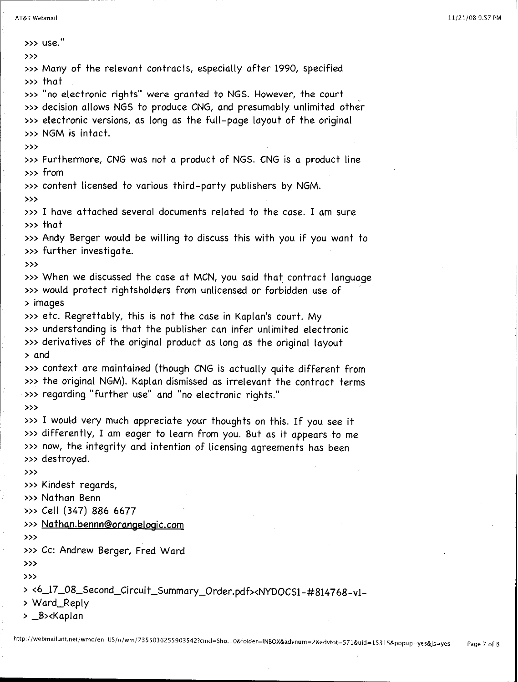**»> use.**II »> »> Many of the relevant contracts, especially after 1990, specified »> that »> "no electronic rights" were granted to NGS. However, the court »> decision allows NGS to produce CNG, and presumably unlimited other »> electronic versions, as long as the full-page layout of the original »> NGM is intact. >>> »> Furthermore, CNG was not a product of NGS. CNG is a product line »> from »> content licensed to various third-party publishers by NGM.  $\rightarrow$ »> I have attached several documents related to the case. I am sure »> that »> Andy Berger would be willing to discuss this with you if you want to »> further investigate. »> »> When we discussed the case at MCN, you said that contract language >>> would protect rightsholders from unlicensed or forbidden use of > images »> etc. Regrettably, this is not the case in Kaplan's court. My »> understanding is that the publisher can infer unlimited electronic >>> derivatives of the original product as long as the original layout > and »> context are maintained (though CNG is actually quite different from »> the original NGM). Kaplan dismissed as irrelevant the contract terms »> regarding "further use" and "no electronic rights." »> »> <sup>I</sup> would very much appreciate your thoughts on this. If you see it »> differently, I am eager to learn from you. But as it appears to me »> now, the integrity and intention of licensing agreements has been »> destroyed. »> »> Kindest regards, »> Nathan Benn >>> Cell (347) 886 6677 »> Nathan.bennn@orangelogic.com »> »> Cc: Andrew Berger, Fred Ward »> >>> > <6\_17\_08\_Second\_Circuit\_Summary\_Order.pdf><NYDOCS1-#814768-v1-> Ward\_Reply > \_B><Kaplan

http://webmail.att.net/wmc/en-US/n/wm/7355036255903542?cmd=Sho...0&folder=INBOX&advnum=2&advtot=571&uid=15315&popup=yes&js=yes Page 7 of 8